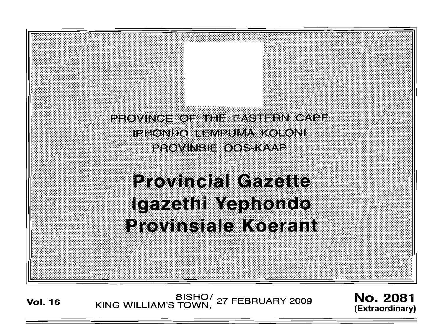

BISHO<sup>/</sup> 27 FEBRUARY 2009 **No. 2081**<br>KING WILLIAM'S TOWN, <sup>27</sup> FEBRUARY 2009 *No.* 2081

(Extraordinary)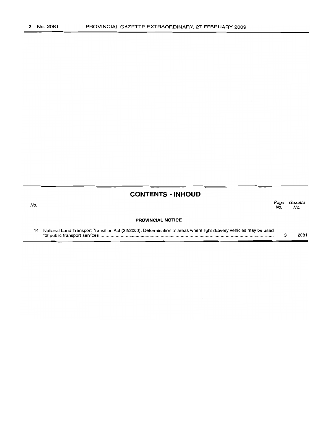No.

#### **CONTENTS ·INHOUD**

Page Gazette<br>No. No. No. No.

#### **PROVINCIAL NOTICE**

14 National Land Transport Transition Act (22/2000): Determination of areas where light delivery vehicles may be used for public transport services . 3 2081

 $\ddot{\phantom{a}}$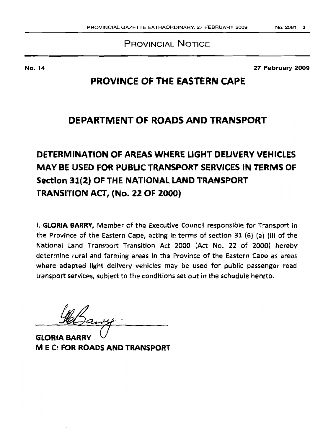### PROVINCIAL NOTICE

No. 14

27 February 2009

## **PROVINCE OF THE EASTERN** CAP'E

## **DEPARTMENT OF ROADS AND TRANSPORT**

# **DETERMINATION OF AREAS WHERE LIGHT DELIVERY VEHICLES MAY BE USED FOR PUBLIC TRANSPORT SERVICES IN TERMS OF Section 31(2) OF THE NATIONAL LAND TRANSPORT TRANSITION ACT, (No. 22 OF 20aO)**

I, **GLORIA BARRY,** Member of the Executive Council responsible for Transport in the Province of the Eastern Cape, acting in terms of section 31 (6) (a) (il) of the National Land Transport Transition Act 2000 (Act No. 22 of 2000) hereby determine rural and farming areas in the Province of the Eastern Cape as areas where adapted light delivery vehicles may be used for public passenger road transport services, subject to the conditions set out in the schedule hereto.

GLORIA BARRY M E C: **FOR ROADS ANDTRANSPORT**